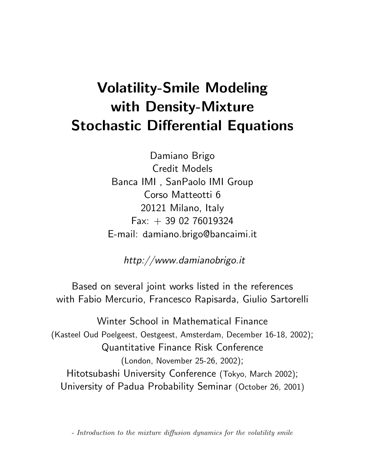# Volatility-Smile Modeling with Density-Mixture Stochastic Differential Equations

Damiano Brigo Credit Models Banca IMI , SanPaolo IMI Group Corso Matteotti 6 20121 Milano, Italy  $Fax: + 390276019324$ E-mail: damiano.brigo@bancaimi.it

http://www.damianobrigo.it

Based on several joint works listed in the references with Fabio Mercurio, Francesco Rapisarda, Giulio Sartorelli

Winter School in Mathematical Finance (Kasteel Oud Poelgeest, Oestgeest, Amsterdam, December 16-18, 2002); Quantitative Finance Risk Conference (London, November 25-26, 2002); Hitotsubashi University Conference (Tokyo, March 2002); University of Padua Probability Seminar (October 26, 2001)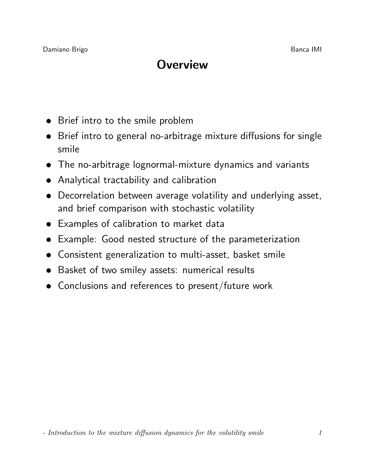# **Overview**

- Brief intro to the smile problem
- Brief intro to general no-arbitrage mixture diffusions for single smile
- The no-arbitrage lognormal-mixture dynamics and variants
- Analytical tractability and calibration
- Decorrelation between average volatility and underlying asset, and brief comparison with stochastic volatility
- Examples of calibration to market data
- Example: Good nested structure of the parameterization
- Consistent generalization to multi-asset, basket smile
- Basket of two smiley assets: numerical results
- Conclusions and references to present/future work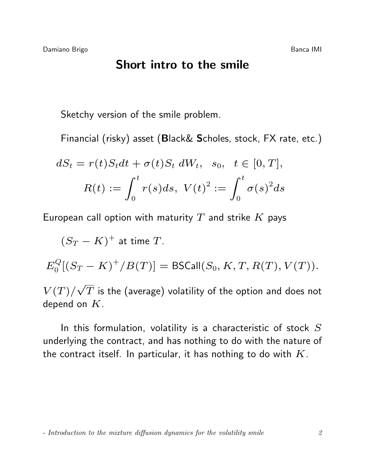#### Short intro to the smile

Sketchy version of the smile problem.

Financial (risky) asset (Black& Scholes, stock, FX rate, etc.)

$$
dS_t = r(t)S_t dt + \sigma(t)S_t dW_t, \quad s_0, \quad t \in [0, T],
$$
  

$$
R(t) := \int_0^t r(s)ds, \quad V(t)^2 := \int_0^t \sigma(s)^2 ds
$$

European call option with maturity  $T$  and strike  $K$  pays

$$
(S_T - K)^+
$$
 at time T.

$$
E_0^Q[(S_T - K)^+/B(T)] = \text{BSCall}(S_0, K, T, R(T), V(T)).
$$

 $V(T)$ / √  $\overline{T}$  is the (average) volatility of the option and does not depend on  $K$ .

In this formulation, volatility is a characteristic of stock  $S$ underlying the contract, and has nothing to do with the nature of the contract itself. In particular, it has nothing to do with  $K$ .

<sup>-</sup> Introduction to the mixture diffusion dynamics for the volatility smile 2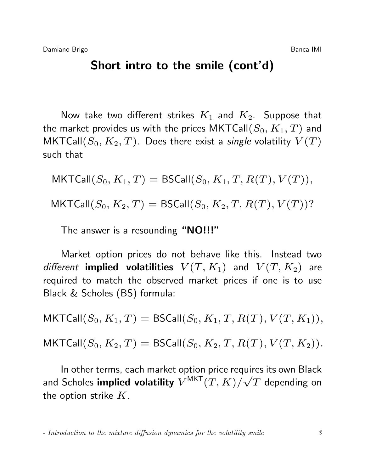#### Short intro to the smile (cont'd)

Now take two different strikes  $K_1$  and  $K_2$ . Suppose that the market provides us with the prices MKTCall( $S_0, K_1, T$ ) and MKTCall $(S_0, K_2, T)$ . Does there exist a *single* volatility  $V(T)$ such that

$$
\mathsf{MKTCall}(S_0, K_1, T) = \mathsf{BSCall}(S_0, K_1, T, R(T), V(T)),
$$
  

$$
\mathsf{MKTCall}(S_0, K_2, T) = \mathsf{BSCall}(S_0, K_2, T, R(T), V(T))?
$$

The answer is a resounding "NO!!!"

Market option prices do not behave like this. Instead two different **implied volatilities**  $V(T, K_1)$  and  $V(T, K_2)$  are required to match the observed market prices if one is to use Black & Scholes (BS) formula:

 $MKTCall(S_0, K_1, T) = BSCall(S_0, K_1, T, R(T), V(T, K_1)),$  $MKTCall(S_0, K_2, T) = BSCall(S_0, K_2, T, R(T), V(T, K_2)).$ 

In other terms, each market option price requires its own Black and Scholes **implied volatility**  $V^{\text{MKT}}(T,K)/\sqrt{T}$  depending on the option strike  $K$ .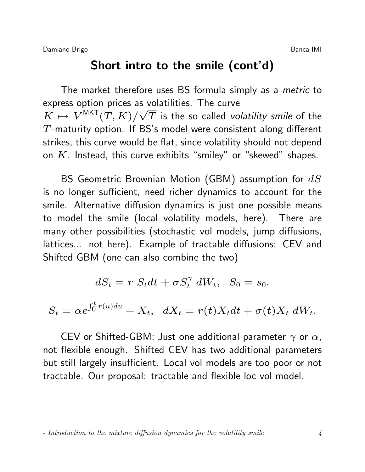Damiano Brigo **Banca IMI** and the Banca IMI and the Banca IMI

### Short intro to the smile (cont'd)

The market therefore uses BS formula simply as a *metric* to express option prices as volatilities. The curve  $K \mapsto V^{\textsf{MKT}}(T,K)/\sqrt{T}$  is the so called *volatility smile* of the T-maturity option. If BS's model were consistent along different strikes, this curve would be flat, since volatility should not depend on  $K$ . Instead, this curve exhibits "smiley" or "skewed" shapes.

BS Geometric Brownian Motion (GBM) assumption for  $dS$ is no longer sufficient, need richer dynamics to account for the smile. Alternative diffusion dynamics is just one possible means to model the smile (local volatility models, here). There are many other possibilities (stochastic vol models, jump diffusions, lattices... not here). Example of tractable diffusions: CEV and Shifted GBM (one can also combine the two)

$$
dS_t = r S_t dt + \sigma S_t^{\gamma} dW_t, \quad S_0 = s_0.
$$

$$
S_t = \alpha e^{\int_0^t r(u)du} + X_t, \quad dX_t = r(t)X_t dt + \sigma(t)X_t dW_t.
$$

CEV or Shifted-GBM: Just one additional parameter  $\gamma$  or  $\alpha$ , not flexible enough. Shifted CEV has two additional parameters but still largely insufficient. Local vol models are too poor or not tractable. Our proposal: tractable and flexible loc vol model.

<sup>-</sup> Introduction to the mixture diffusion dynamics for the volatility smile  $\frac{4}{4}$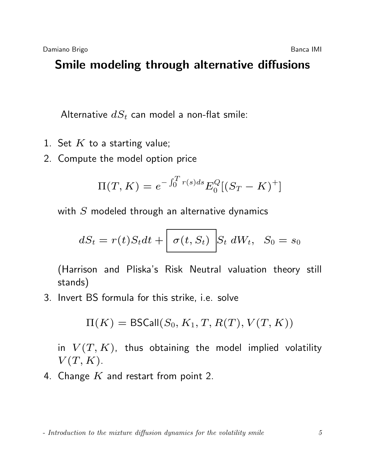# Smile modeling through alternative diffusions

Alternative  $dS_t$  can model a non-flat smile:

- 1. Set  $K$  to a starting value;
- 2. Compute the model option price

$$
\Pi(T, K) = e^{-\int_0^T r(s)ds} E_0^Q [(S_T - K)^+]
$$

with  $S$  modeled through an alternative dynamics

$$
dS_t = r(t)S_t dt + \left[\sigma(t, S_t)\right]S_t dW_t, \quad S_0 = s_0
$$

(Harrison and Pliska's Risk Neutral valuation theory still stands)

3. Invert BS formula for this strike, i.e. solve

$$
\Pi(K) = \mathsf{BSCall}(S_0, K_1, T, R(T), V(T, K))
$$

in  $V(T, K)$ , thus obtaining the model implied volatility  $V(T, K)$ .

4. Change  $K$  and restart from point 2.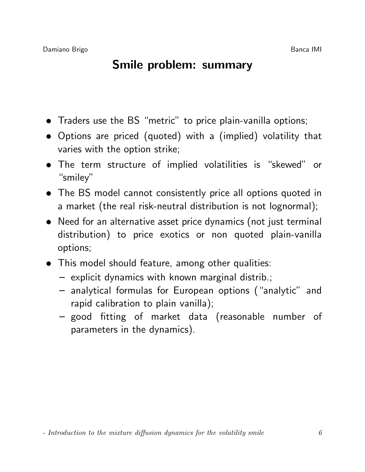### Smile problem: summary

- Traders use the BS "metric" to price plain-vanilla options;
- Options are priced (quoted) with a (implied) volatility that varies with the option strike;
- The term structure of implied volatilities is "skewed" or "smiley"
- The BS model cannot consistently price all options quoted in a market (the real risk-neutral distribution is not lognormal);
- Need for an alternative asset price dynamics (not just terminal distribution) to price exotics or non quoted plain-vanilla options;
- This model should feature, among other qualities:
	- explicit dynamics with known marginal distrib.;
	- analytical formulas for European options ("analytic" and rapid calibration to plain vanilla);
	- good fitting of market data (reasonable number of parameters in the dynamics).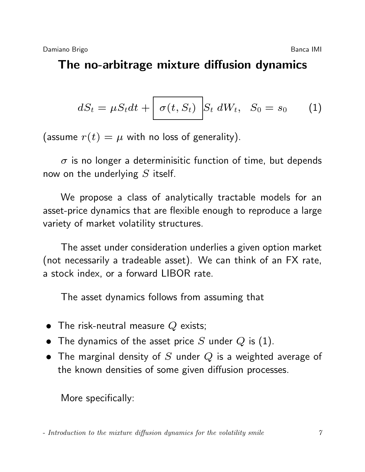# The no-arbitrage mixture diffusion dynamics

$$
dS_t = \mu S_t dt + \left[\sigma(t, S_t)\right] S_t dW_t, \quad S_0 = s_0 \tag{1}
$$

(assume  $r(t) = \mu$  with no loss of generality).

 $\sigma$  is no longer a determinisitic function of time, but depends now on the underlying  $S$  itself.

We propose a class of analytically tractable models for an asset-price dynamics that are flexible enough to reproduce a large variety of market volatility structures.

The asset under consideration underlies a given option market (not necessarily a tradeable asset). We can think of an FX rate, a stock index, or a forward LIBOR rate.

The asset dynamics follows from assuming that

- The risk-neutral measure  $Q$  exists;
- The dynamics of the asset price S under Q is (1).
- The marginal density of S under Q is a weighted average of the known densities of some given diffusion processes.

More specifically: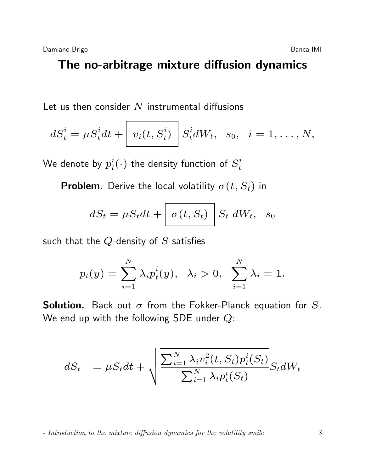#### The no-arbitrage mixture diffusion dynamics

Let us then consider  $N$  instrumental diffusions

$$
dS_t^i = \mu S_t^i dt + \left[ v_i(t, S_t^i) \right] S_t^i dW_t, \quad s_0, \quad i = 1, \ldots, N,
$$

We denote by  $p_t^i$  $t_t^i(\cdot)$  the density function of  $S_t^i$ t

**Problem.** Derive the local volatility  $\sigma(t, S_t)$  in

$$
dS_t = \mu S_t dt + \left[\sigma(t, S_t)\right] S_t dW_t, \quad s_0
$$

such that the  $Q$ -density of  $S$  satisfies

$$
p_t(y)=\sum_{i=1}^N\lambda_i p_t^i(y),~~\lambda_i>0,~~\sum_{i=1}^N\lambda_i=1.
$$

**Solution.** Back out  $\sigma$  from the Fokker-Planck equation for S. We end up with the following SDE under  $Q$ :

$$
dS_t = \mu S_t dt + \sqrt{\frac{\sum_{i=1}^N \lambda_i v_i^2(t, S_t) p_t^i(S_t)}{\sum_{i=1}^N \lambda_i p_t^i(S_t)}} S_t dW_t
$$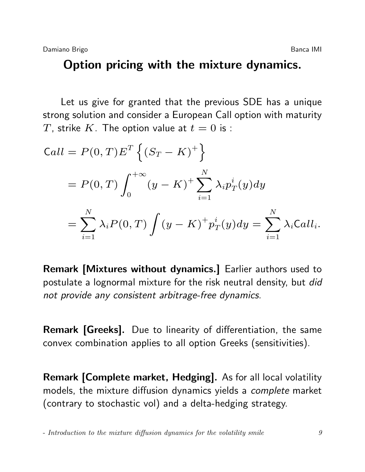#### Option pricing with the mixture dynamics.

Let us give for granted that the previous SDE has a unique strong solution and consider a European Call option with maturity T, strike K. The option value at  $t=0$  is :

$$
Call = P(0, T)E^{T} \{(S_{T} - K)^{+}\}
$$
  
=  $P(0, T) \int_{0}^{+\infty} (y - K)^{+} \sum_{i=1}^{N} \lambda_{i} p_{T}^{i}(y) dy$   
=  $\sum_{i=1}^{N} \lambda_{i} P(0, T) \int (y - K)^{+} p_{T}^{i}(y) dy = \sum_{i=1}^{N} \lambda_{i} Call_{i}.$ 

Remark [Mixtures without dynamics.] Earlier authors used to postulate a lognormal mixture for the risk neutral density, but did not provide any consistent arbitrage-free dynamics.

Remark [Greeks]. Due to linearity of differentiation, the same convex combination applies to all option Greeks (sensitivities).

Remark [Complete market, Hedging]. As for all local volatility models, the mixture diffusion dynamics yields a complete market (contrary to stochastic vol) and a delta-hedging strategy.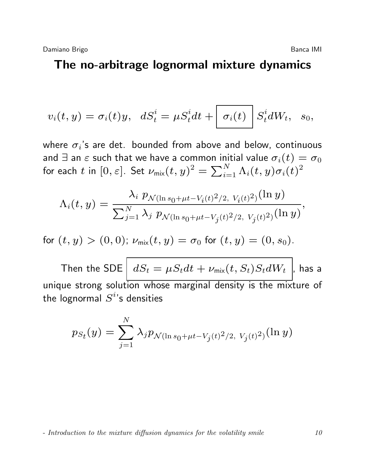#### The no-arbitrage lognormal mixture dynamics

$$
v_i(t,y)=\sigma_i(t)y,\;\;dS^i_t=\mu S^i_t dt+\left\lfloor\,\sigma_i(t)\,\right\rfloor S^i_t dW_t,\;\;s_0,
$$

where  ${\sigma_i}$ 's are det. bounded from above and below, continuous and  $\exists$  an  $\varepsilon$  such that we have a common initial value  $\sigma_i(t) = \sigma_0$ for each  $t$  in  $[0,\varepsilon].$  Set  $\nu_{\mathsf{mix}}(t,y)^2 = \sum_{i=1}^N \Lambda_i(t,y) \sigma_i(t)^2$ 

$$
\Lambda_i(t,y) = \frac{\lambda_i \ p_{\mathcal{N}(\ln s_0 + \mu t - V_i(t)^2/2, \ V_i(t)^2)}(\ln y)}{\sum_{j=1}^N \lambda_j \ p_{\mathcal{N}(\ln s_0 + \mu t - V_j(t)^2/2, \ V_j(t)^2)}(\ln y)},
$$

for  $(t, y) > (0, 0)$ ;  $\nu_{\text{mix}}(t, y) = \sigma_0$  for  $(t, y) = (0, s_0)$ .

Then the SDE  $\boxed{dS_t = \mu S_t dt + \nu_{\text{mix}}(t, S_t) S_t dW_t}$ , has a unique strong solution whose marginal density is the mixture of the lognormal  $S^i$ 's densities

$$
p_{S_t}(y) = \sum_{j=1}^{N} \lambda_j p_{\mathcal{N}(\ln s_0 + \mu t - V_j(t)^2/2, V_j(t)^2)}(\ln y)
$$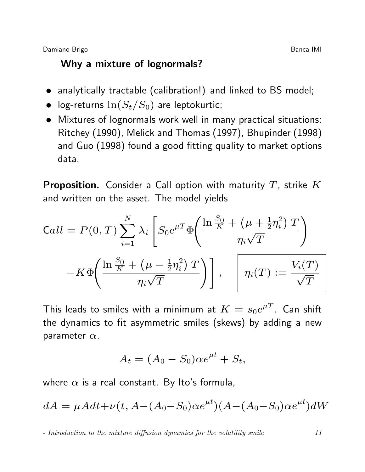#### Why a mixture of lognormals?

- analytically tractable (calibration!) and linked to BS model;
- log-returns  $\ln(S_t/S_0)$  are leptokurtic;
- Mixtures of lognormals work well in many practical situations: Ritchey (1990), Melick and Thomas (1997), Bhupinder (1998) and Guo (1998) found a good fitting quality to market options data.

**Proposition.** Consider a Call option with maturity  $T$ , strike  $K$ and written on the asset. The model yields

$$
Call = P(0, T) \sum_{i=1}^{N} \lambda_i \left[ S_0 e^{\mu T} \Phi \left( \frac{\ln \frac{S_0}{K} + \left( \mu + \frac{1}{2} \eta_i^2 \right) T}{\eta_i \sqrt{T}} \right) - K \Phi \left( \frac{\ln \frac{S_0}{K} + \left( \mu - \frac{1}{2} \eta_i^2 \right) T}{\eta_i \sqrt{T}} \right) \right], \quad \left[ \eta_i(T) := \frac{V_i(T)}{\sqrt{T}} \right]
$$

This leads to smiles with a minimum at  $K = s_0 e^{\mu T}$ . Can shift the dynamics to fit asymmetric smiles (skews) by adding a new parameter  $\alpha$ .

$$
A_t = (A_0 - S_0)\alpha e^{\mu t} + S_t,
$$

where  $\alpha$  is a real constant. By Ito's formula,

$$
dA = \mu A dt + \nu (t, A - (A_0 - S_0) \alpha e^{\mu t}) (A - (A_0 - S_0) \alpha e^{\mu t}) dW
$$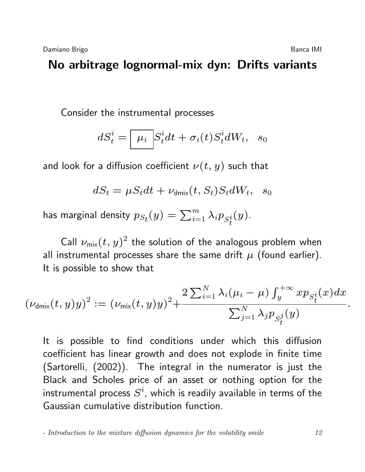### No arbitrage lognormal-mix dyn: Drifts variants

Consider the instrumental processes

$$
dS_t^i = \boxed{\mu_i}{S_t^i}dt + \sigma_i(t)S_t^i dW_t, \quad s_0
$$

and look for a diffusion coefficient  $\nu(t, y)$  such that

$$
dS_t = \mu S_t dt + \nu_{\text{dmix}}(t, S_t) S_t dW_t, \quad s_0
$$

has marginal density  $p_{S_{t}}(y) = \sum_{i=1}^{m} \lambda_{i}p_{S_{t}^{i}}$  $(y).$ 

Call  $\nu_{\mathsf{mix}}(t,y)^2$  the solution of the analogous problem when all instrumental processes share the same drift  $\mu$  (found earlier). It is possible to show that

$$
\left(\nu_{\text{dmix}}(t,y)y\right)^2 := \left(\nu_{\text{mix}}(t,y)y\right)^2 + \frac{2\sum_{i=1}^N \lambda_i(\mu_i - \mu) \int_y^{+\infty} x p_{S_t^i}(x) dx}{\sum_{j=1}^N \lambda_j p_{S_t^j}(y)}.
$$

It is possible to find conditions under which this diffusion coefficient has linear growth and does not explode in finite time (Sartorelli, (2002)). The integral in the numerator is just the Black and Scholes price of an asset or nothing option for the instrumental process  $S^i$ , which is readily available in terms of the Gaussian cumulative distribution function.

<sup>-</sup> Introduction to the mixture diffusion dynamics for the volatility smile 12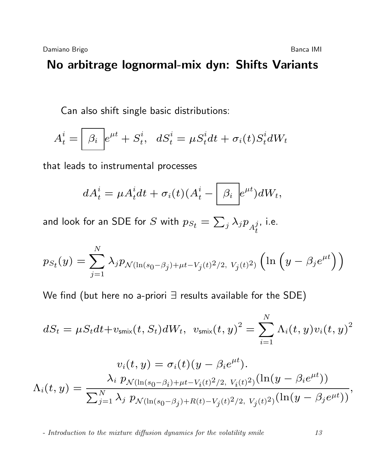Can also shift single basic distributions:

$$
A_t^i = \boxed{\beta_i} e^{\mu t} + S_t^i, \ \ dS_t^i = \mu S_t^i dt + \sigma_i(t) S_t^i dW_t
$$

that leads to instrumental processes

$$
dA_t^i = \mu A_t^i dt + \sigma_i(t) (A_t^i - \boxed{\beta_i} e^{\mu t}) dW_t,
$$

and look for an SDE for  $S$  with  $p_{S_t} = \sum_j \lambda_j p_{A^j_t}$ t , i.e.

$$
p_{S_t}(y) = \sum_{j=1}^{N} \lambda_j p_{\mathcal{N}(\ln(s_0 - \beta_j) + \mu t - V_j(t)^2/2, V_j(t)^2)} \left( \ln \left( y - \beta_j e^{\mu t} \right) \right)
$$

We find (but here no a-priori ∃ results available for the SDE)

$$
dS_t = \mu S_t dt + v_{\text{smix}}(t, S_t) dW_t, v_{\text{smix}}(t, y)^2 = \sum_{i=1}^N \Lambda_i(t, y) v_i(t, y)^2
$$

$$
v_i(t, y) = \sigma_i(t)(y - \beta_i e^{\mu t}).
$$
  

$$
\Lambda_i(t, y) = \frac{\lambda_i p_{\mathcal{N}(\ln(s_0 - \beta_i) + \mu t - V_i(t)^2/2, V_i(t)^2)}(\ln(y - \beta_i e^{\mu t}))}{\sum_{j=1}^N \lambda_j p_{\mathcal{N}(\ln(s_0 - \beta_j) + R(t) - V_j(t)^2/2, V_j(t)^2)}(\ln(y - \beta_j e^{\mu t}))},
$$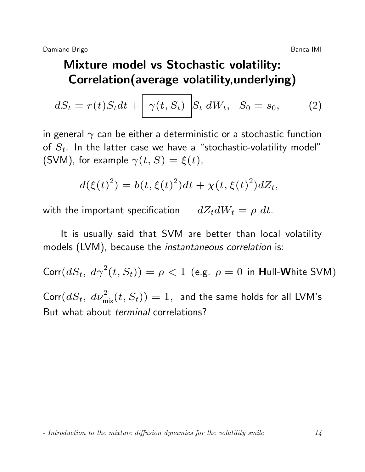# Mixture model vs Stochastic volatility: Correlation(average volatility,underlying)

$$
dS_t = r(t)S_t dt + \left[\gamma(t, S_t) \middle| S_t dW_t, S_0 = s_0, \right] \tag{2}
$$

in general  $\gamma$  can be either a deterministic or a stochastic function of  $S_t$ . In the latter case we have a "stochastic-volatility model" (SVM), for example  $\gamma(t, S) = \xi(t)$ ,

$$
d(\xi(t)^{2}) = b(t, \xi(t)^{2})dt + \chi(t, \xi(t)^{2})dZ_{t},
$$

with the important specification  $dZ_t dW_t = \rho dt$ .

It is usually said that SVM are better than local volatility models (LVM), because the instantaneous correlation is:

 $\text{Corr}(dS_t, d\gamma^2(t, S_t)) = \rho < 1$  (e.g.  $\rho = 0$  in Hull-White SVM)  $\mathsf{Corr}(dS_t, \ d\nu_{\mathsf{mix}}^2(t,S_t)) = 1, \ \ \mathsf{and} \ \mathsf{the} \ \mathsf{same} \ \mathsf{holds} \ \mathsf{for} \ \mathsf{all} \ \mathsf{LVM's}$ But what about terminal correlations?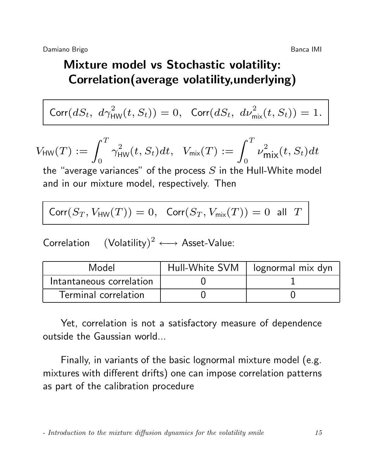# Mixture model vs Stochastic volatility: Correlation(average volatility,underlying)

$$
\text{Corr}(dS_t, d\gamma_{\text{HW}}^2(t, S_t)) = 0, \text{Corr}(dS_t, d\nu_{\text{mix}}^2(t, S_t)) = 1.
$$

$$
V_{\text{HW}}(T) := \int_0^T \gamma_{\text{HW}}^2(t, S_t) dt, \quad V_{\text{mix}}(T) := \int_0^T \nu_{\text{mix}}^2(t, S_t) dt
$$

the "average variances" of the process  $S$  in the Hull-White model and in our mixture model, respectively. Then

$$
\text{Corr}(S_T,V_{\text{HW}}(T))=0, \ \ \text{Corr}(S_T,V_{\text{mix}}(T))=0 \ \ \text{all} \ \ T
$$

Correlation  $(Volatility)^2 \longleftrightarrow Asset-Value$ :

| Model                    | Hull-White SVM | lognormal mix dyn |
|--------------------------|----------------|-------------------|
| Intantaneous correlation |                |                   |
| Terminal correlation     |                |                   |

Yet, correlation is not a satisfactory measure of dependence outside the Gaussian world...

Finally, in variants of the basic lognormal mixture model (e.g. mixtures with different drifts) one can impose correlation patterns as part of the calibration procedure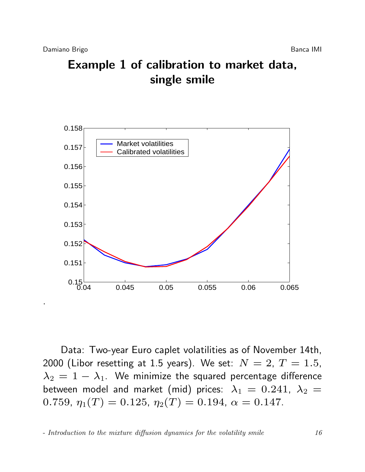.

# Example 1 of calibration to market data, single smile



Data: Two-year Euro caplet volatilities as of November 14th, 2000 (Libor resetting at 1.5 years). We set:  $N = 2, T = 1.5$ ,  $\lambda_2 = 1 - \lambda_1$ . We minimize the squared percentage difference between model and market (mid) prices:  $\lambda_1 = 0.241$ ,  $\lambda_2 =$ 0.759,  $\eta_1(T) = 0.125$ ,  $\eta_2(T) = 0.194$ ,  $\alpha = 0.147$ .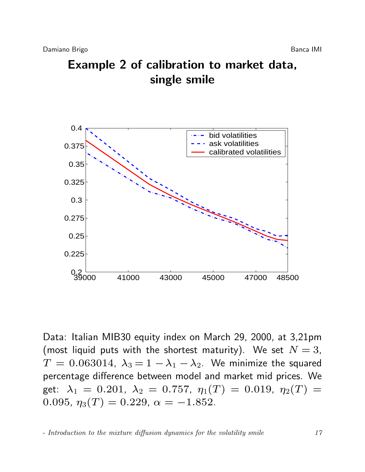



Data: Italian MIB30 equity index on March 29, 2000, at 3,21pm (most liquid puts with the shortest maturity). We set  $N = 3$ ,  $T = 0.063014$ ,  $\lambda_3 = 1 - \lambda_1 - \lambda_2$ . We minimize the squared percentage difference between model and market mid prices. We get:  $\lambda_1 = 0.201$ ,  $\lambda_2 = 0.757$ ,  $\eta_1(T) = 0.019$ ,  $\eta_2(T) =$ 0.095,  $\eta_3(T) = 0.229$ ,  $\alpha = -1.852$ .

<sup>-</sup> Introduction to the mixture diffusion dynamics for the volatility smile 17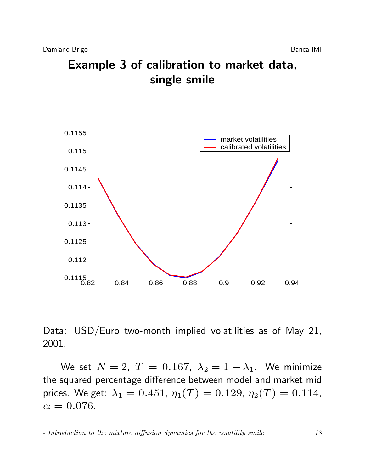



Data: USD/Euro two-month implied volatilities as of May 21, 2001.

We set  $N = 2$ ,  $T = 0.167$ ,  $\lambda_2 = 1 - \lambda_1$ . We minimize the squared percentage difference between model and market mid prices. We get:  $\lambda_1 = 0.451$ ,  $\eta_1(T) = 0.129$ ,  $\eta_2(T) = 0.114$ ,  $\alpha = 0.076$ .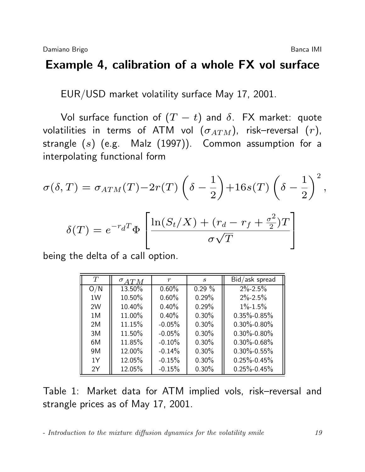#### Example 4, calibration of a whole FX vol surface

EUR/USD market volatility surface May 17, 2001.

Vol surface function of  $(T - t)$  and  $\delta$ . FX market: quote volatilities in terms of ATM vol  $(\sigma_{ATM})$ , risk–reversal  $(r)$ , strangle  $(s)$  (e.g. Malz  $(1997)$ ). Common assumption for a interpolating functional form

$$
\sigma(\delta,T) = \sigma_{ATM}(T) - 2r(T)\left(\delta - \frac{1}{2}\right) + 16s(T)\left(\delta - \frac{1}{2}\right)^2,
$$

$$
\delta(T) = e^{-r_d T} \Phi \left[ \frac{\ln(S_t/X) + (r_d - r_f + \frac{\sigma^2}{2})T}{\sigma \sqrt{T}} \right]
$$

being the delta of a call option.

| T   | $\sigma_{ATM}$ | r        | S.        | Bid/ask spread    |
|-----|----------------|----------|-----------|-------------------|
| O/N | 13.50%         | $0.60\%$ | $0.29 \%$ | $2\% - 2.5\%$     |
| 1W  | 10.50%         | 0.60%    | 0.29%     | $2\% - 2.5\%$     |
| 2W  | 10.40%         | 0.40%    | 0.29%     | $1\% - 1.5\%$     |
| 1M  | 11.00%         | $0.40\%$ | $0.30\%$  | $0.35\% - 0.85\%$ |
| 2M  | 11.15%         | $-0.05%$ | $0.30\%$  | $0.30\% - 0.80\%$ |
| 3M  | 11.50%         | $-0.05%$ | $0.30\%$  | $0.30\% - 0.80\%$ |
| 6M  | 11.85%         | $-0.10%$ | $0.30\%$  | $0.30\% - 0.68\%$ |
| 9M  | 12.00%         | $-0.14%$ | $0.30\%$  | $0.30\% - 0.55\%$ |
| 1Y  | 12.05%         | $-0.15%$ | $0.30\%$  | $0.25\% - 0.45\%$ |
| 2Y  | 12.05%         | $-0.15%$ | $0.30\%$  | $0.25\% - 0.45\%$ |

Table 1: Market data for ATM implied vols, risk–reversal and strangle prices as of May 17, 2001.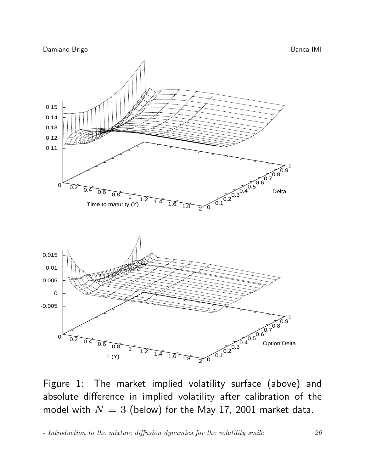

Figure 1: The market implied volatility surface (above) and absolute difference in implied volatility after calibration of the model with  $N = 3$  (below) for the May 17, 2001 market data.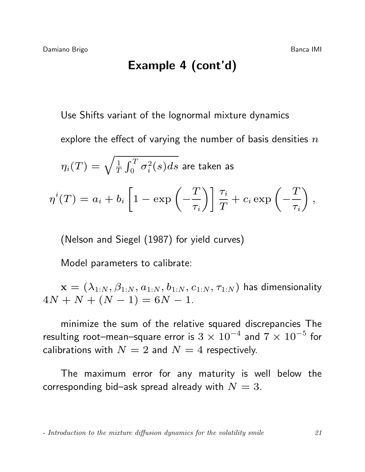### Example 4 (cont'd)

Use Shifts variant of the lognormal mixture dynamics

explore the effect of varying the number of basis densities  $n$ 

$$
\eta_i(T) = \sqrt{\tfrac{1}{T}\int_0^T \sigma_i^2(s)ds} \text{ are taken as }
$$

$$
\eta^{i}(T) = a_{i} + b_{i} \left[ 1 - \exp\left(-\frac{T}{\tau_{i}}\right) \right] \frac{\tau_{i}}{T} + c_{i} \exp\left(-\frac{T}{\tau_{i}}\right),
$$

(Nelson and Siegel (1987) for yield curves)

Model parameters to calibrate:

 $\mathbf{x} = (\lambda_{1:N}, \beta_{1:N}, a_{1:N}, b_{1:N}, c_{1:N}, \tau_{1:N})$  has dimensionality  $4N + N + (N - 1) = 6N - 1.$ 

minimize the sum of the relative squared discrepancies The resulting root–mean–square error is  $3\times10^{-4}$  and  $7\times10^{-5}$  for calibrations with  $N = 2$  and  $N = 4$  respectively.

The maximum error for any maturity is well below the corresponding bid–ask spread already with  $N = 3$ .

<sup>-</sup> Introduction to the mixture diffusion dynamics for the volatility smile 21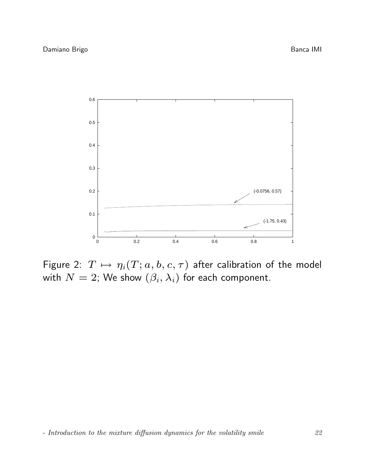

Figure 2:  $T \mapsto \eta_i(T; a, b, c, \tau)$  after calibration of the model with  $N=2$ ; We show  $(\beta_i, \lambda_i)$  for each component.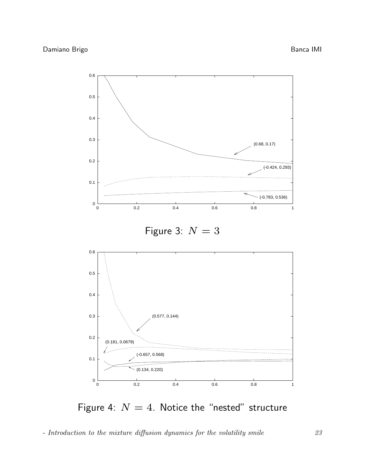

Figure 4:  $N = 4$ . Notice the "nested" structure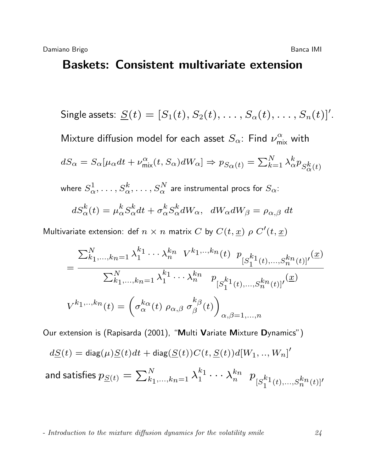#### Baskets: Consistent multivariate extension

Single assets: 
$$
\underline{S}(t) = [S_1(t), S_2(t), \ldots, S_{\alpha}(t), \ldots, S_n(t)]'.
$$

Mixture diffusion model for each asset  $S_\alpha$ : Find  $\nu_{\mathsf{mix}}^\alpha$  with

$$
dS_{\alpha} = S_{\alpha}[\mu_{\alpha}dt + \nu_{\text{mix}}^{\alpha}(t, S_{\alpha})dW_{\alpha}] \Rightarrow p_{S_{\alpha}(t)} = \sum_{k=1}^{N} \lambda_{\alpha}^{k} p_{S_{\alpha}^{k}(t)}
$$

where  $S^{1}_{\alpha},\ldots,S^{k}_{\alpha},\ldots,S^{N}_{\alpha}$  are instrumental procs for  $S_{\alpha}$ :

$$
dS^k_{\alpha}(t) = \mu^k_{\alpha} S^k_{\alpha} dt + \sigma^k_{\alpha} S^k_{\alpha} dW_{\alpha}, \quad dW_{\alpha} dW_{\beta} = \rho_{\alpha, \beta} dt
$$

Multivariate extension: def  $n \times n$  matrix  $C$  by  $C(t, \underline{x}) \; \rho \; C'(t, \underline{x})$ 

$$
= \frac{\sum_{k_1,\dots,k_n=1}^{N} \lambda_1^{k_1} \cdots \lambda_n^{k_n} V^{k_1,\dots,k_n}(t) \ p_{[S_1^{k_1}(t),\dots,S_n^{k_n}(t)]'}(\underline{x})}{\sum_{k_1,\dots,k_n=1}^{N} \lambda_1^{k_1} \cdots \lambda_n^{k_n} \ p_{[S_1^{k_1}(t),\dots,S_n^{k_n}(t)]'}(\underline{x})}
$$

$$
V^{k_1,\dots,k_n}(t) = \left(\sigma_\alpha^{k_\alpha}(t) \ \rho_{\alpha,\beta} \ \sigma_\beta^{k_\beta}(t)\right)_{\alpha,\beta=1,\dots,n}
$$

Our extension is (Rapisarda (2001), "Multi Variate Mixture Dynamics")

$$
d\underline{S}(t)=\text{diag}(\mu)\underline{S}(t)dt+\text{diag}(\underline{S}(t))C(t,\underline{S}(t))d[W_1,..,W_n]'
$$

and satisfies 
$$
p_{\underline{S}(t)} = \sum_{k_1,\ldots,k_n=1}^N \lambda_1^{k_1} \cdots \lambda_n^{k_n} p_{[S_1^{k_1}(t),\ldots,S_n^{k_n}(t)]'}
$$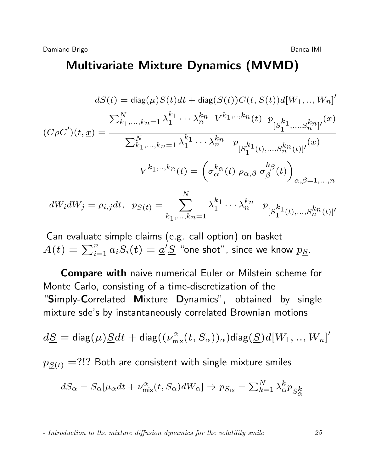#### Multivariate Mixture Dynamics (MVMD)

$$
d\underline{S}(t) = \text{diag}(\mu)\underline{S}(t)dt + \text{diag}(\underline{S}(t))C(t, \underline{S}(t))d[W_1, ..., W_n]'
$$

$$
(C\rho C')(t, \underline{x}) = \frac{\sum_{k_1, ..., k_n=1}^N \lambda_1^{k_1} \cdots \lambda_n^{k_n} V^{k_1, ..., k_n}(t) P_{[S_1^{k_1}(t), ..., S_n^{k_n}(t)]'}(\underline{x})}{\sum_{k_1, ..., k_n=1}^N \lambda_1^{k_1} \cdots \lambda_n^{k_n} P_{[S_1^{k_1}(t), ..., S_n^{k_n}(t)]'}(\underline{x})}
$$

$$
V^{k_1, ..., k_n}(t) = \left(\sigma_\alpha^{k_\alpha}(t) P_{\alpha, \beta} \sigma_\beta^{k_\beta}(t)\right)_{\alpha, \beta = 1, ..., n}
$$

$$
dW_i dW_j = \rho_{i,j} dt, \quad p_{\underline{S}(t)} = \sum_{k_1,\dots,k_n=1}^N \lambda_1^{k_1} \cdots \lambda_n^{k_n} \quad p_{[S_1^{k_1}(t),\dots,S_n^{k_n}(t)]'}
$$

Can evaluate simple claims (e.g. call option) on basket  $A(t)=\sum_{i=1}^n a_i S_i(t)=\underline{a}'\underline{S}$  "one shot", since we know  $p_{\underline{S}}.$ 

Compare with naive numerical Euler or Milstein scheme for Monte Carlo, consisting of a time-discretization of the "Simply-Correlated Mixture Dynamics", obtained by single mixture sde's by instantaneously correlated Brownian motions

$$
d\underline{S} = \text{diag}(\mu)\underline{S}dt + \text{diag}((\nu_{\text{mix}}^{\alpha}(t,S_{\alpha}))_{\alpha})\text{diag}(\underline{S})d[W_1,..,W_n]'
$$

 $p_{S(t)} =$ ?!? Both are consistent with single mixture smiles

$$
dS_{\alpha} = S_{\alpha}[\mu_{\alpha}dt + \nu_{\text{mix}}^{\alpha}(t, S_{\alpha})dW_{\alpha}] \Rightarrow p_{S_{\alpha}} = \sum_{k=1}^{N} \lambda_{\alpha}^{k} p_{S_{\alpha}^{k}}
$$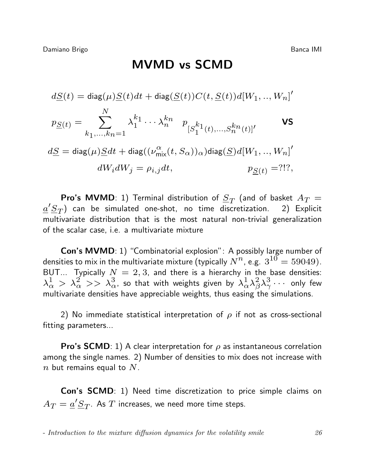$$
d\underline{S}(t) = \text{diag}(\mu)\underline{S}(t)dt + \text{diag}(\underline{S}(t))C(t, \underline{S}(t))d[W_1, ..., W_n]'
$$
  
\n
$$
p_{\underline{S}(t)} = \sum_{k_1,...,k_n=1}^{N} \lambda_1^{k_1} \cdots \lambda_n^{k_n} p_{[S_1^{k_1}(t),...,S_n^{k_n}(t)]'}
$$
  
\n
$$
d\underline{S} = \text{diag}(\mu)\underline{S}dt + \text{diag}((\nu_{\text{mix}}^{\alpha}(t, S_{\alpha}))_{\alpha})\text{diag}(\underline{S})d[W_1, ..., W_n]'
$$
  
\n
$$
dW_i dW_j = \rho_{i,j} dt, \qquad p_{\underline{S}(t)} = ?!?
$$

**Pro's MVMD**: 1) Terminal distribution of  $\underline{S}_T$  (and of basket  $A_T=$  $a' S_T$ ) can be simulated one-shot, no time discretization. 2) Explicit multivariate distribution that is the most natural non-trivial generalization of the scalar case, i.e. a multivariate mixture

Con's MVMD: 1) "Combinatorial explosion": A possibly large number of densities to mix in the multivariate mixture (typically  $N^n$ , e.g.  $\,3^{10}=59049$ ). BUT... Typically  $N = 2, 3$ , and there is a hierarchy in the base densities:  $\lambda^1_{\alpha}>\lambda^2_{\alpha}>>\lambda^3_{\alpha}$ , so that with weights given by  $\lambda^1_{\alpha}\lambda^2_{\beta}$  $\frac{2}{\beta}\lambda_{\gamma}^{\dot 3}$  $\frac{3}{\gamma} \cdots$  only few multivariate densities have appreciable weights, thus easing the simulations.

2) No immediate statistical interpretation of  $\rho$  if not as cross-sectional fitting parameters...

**Pro's SCMD**: 1) A clear interpretation for  $\rho$  as instantaneous correlation among the single names. 2) Number of densities to mix does not increase with  $n$  but remains equal to  $N$ .

Con's SCMD: 1) Need time discretization to price simple claims on  $A_T = \underline{a}'\underline{S}_T.$  As  $T$  increases, we need more time steps.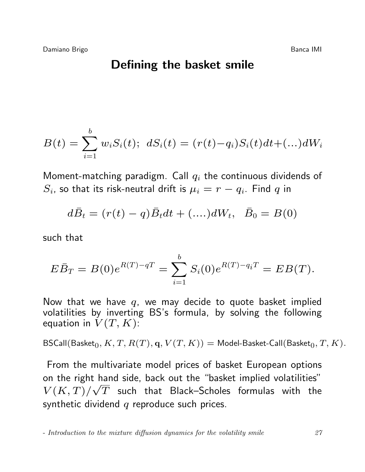#### Defining the basket smile

$$
B(t) = \sum_{i=1}^{b} w_i S_i(t); \ dS_i(t) = (r(t) - q_i) S_i(t) dt + (\dots) dW_i
$$

Moment-matching paradigm. Call  $q_i$  the continuous dividends of  $S_i$ , so that its risk-neutral drift is  $\mu_i=r-q_i.$  Find  $q$  in

$$
d\bar{B}_t = (r(t) - q)\bar{B}_t dt + (....)dW_t, \ \ \bar{B}_0 = B(0)
$$

such that

$$
E\bar{B}_T = B(0)e^{R(T)-qT} = \sum_{i=1}^b S_i(0)e^{R(T)-q_iT} = EB(T).
$$

Now that we have  $q$ , we may decide to quote basket implied volatilities by inverting BS's formula, by solving the following equation in  $V(T, K)$ :

BSCall(Basket<sub>0</sub>, K, T,  $R(T)$ , q,  $V(T, K)$ ) = Model-Basket-Call(Basket<sub>0</sub>, T, K).

From the multivariate model prices of basket European options on the right hand side, back out the "basket implied volatilities"  $V(K,T)/\sqrt{T}$  such that Black–Scholes formulas with the synthetic dividend  $q$  reproduce such prices.

<sup>-</sup> Introduction to the mixture diffusion dynamics for the volatility smile 27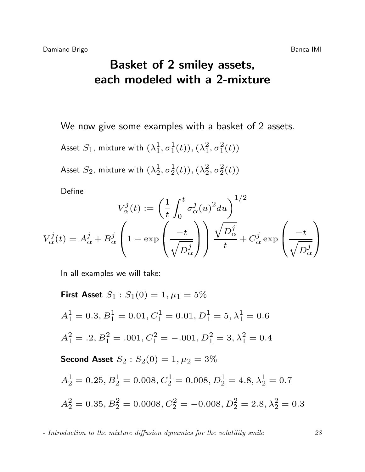# Basket of 2 smiley assets, each modeled with a 2-mixture

We now give some examples with a basket of 2 assets.

Asset  $S_1$ , mixture with  $(\lambda_1^1)$  $_{1}^{1},\sigma_{1}^{1}(t)),(\lambda_{1}^{2}% ,\lambda_{2}^{2}+\lambda_{3}^{2}t)+\lambda_{4}^{3}t^{2}+\lambda_{5}^{4}t^{3}+\lambda_{6}^{5}t^{4}+\lambda_{7}^{6}t^{4}+\lambda_{8}^{7}t^{4}+\lambda_{10}^{7}t^{2}+\lambda_{11}^{7}t^{3}+\lambda_{11}^{7}t^{4}+\lambda_{12}^{7}t^{2}+\lambda_{13}^{7}t^{3}+\lambda_{15}^{7}t^{4}+\lambda_{16}^{7}t^{2}+\lambda_{17}^{7}t^{4}+\lambda_{18}^{7}t^{2}$  $_{1}^{2},\sigma_{1}^{2}(t))$ Asset  $S_2$ , mixture with  $(\lambda_2^1)$  $\frac{1}{2}, \sigma_{2}^{1}$  $\frac{1}{2}(t)),(\lambda_2^2$  $^{2}_{2}, \sigma^{2}_{2}$  $^{2}_{2}(t)$ 

Define

$$
V_{\alpha}^{j}(t) := \left(\frac{1}{t} \int_{0}^{t} \sigma_{\alpha}^{j}(u)^{2} du\right)^{1/2}
$$

$$
V_{\alpha}^{j}(t) = A_{\alpha}^{j} + B_{\alpha}^{j} \left(1 - \exp\left(\frac{-t}{\sqrt{D_{\alpha}^{j}}}\right)\right) \frac{\sqrt{D_{\alpha}^{j}}}{t} + C_{\alpha}^{j} \exp\left(\frac{-t}{\sqrt{D_{\alpha}^{j}}}\right)
$$

In all examples we will take:

First Asset 
$$
S_1 : S_1(0) = 1
$$
,  $\mu_1 = 5\%$   
\n $A_1^1 = 0.3$ ,  $B_1^1 = 0.01$ ,  $C_1^1 = 0.01$ ,  $D_1^1 = 5$ ,  $\lambda_1^1 = 0.6$   
\n $A_1^2 = .2$ ,  $B_1^2 = .001$ ,  $C_1^2 = -.001$ ,  $D_1^2 = 3$ ,  $\lambda_1^2 = 0.4$   
\nSecond Asset  $S_2 : S_2(0) = 1$ ,  $\mu_2 = 3\%$   
\n $A_2^1 = 0.25$ ,  $B_2^1 = 0.008$ ,  $C_2^1 = 0.008$ ,  $D_2^1 = 4.8$ ,  $\lambda_2^1 = 0.7$   
\n $A_2^2 = 0.35$ ,  $B_2^2 = 0.0008$ ,  $C_2^2 = -0.008$ ,  $D_2^2 = 2.8$ ,  $\lambda_2^2 = 0.3$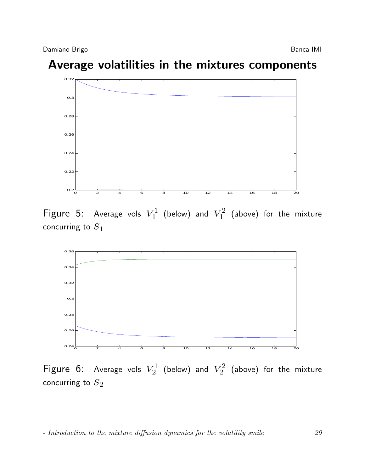# Average volatilities in the mixtures components



Figure 5: Average vols  $V_1^1$  $V_1^1$  (below) and  $V_1^2$  $\binom{1}{1}$  (above) for the mixture concurring to  $S_1$ 



Figure 6: Average vols  $V_2^1$  $\chi_2^1$  (below) and  $V_2^2$  $\binom{72}{2}$  (above) for the mixture concurring to  $S_2$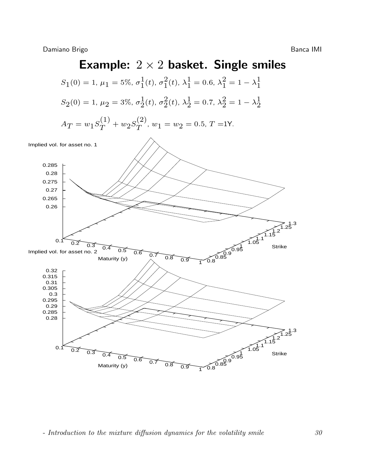# Example:  $2 \times 2$  basket. Single smiles

$$
S_1(0) = 1, \mu_1 = 5\%, \sigma_1^1(t), \sigma_1^2(t), \lambda_1^1 = 0.6, \lambda_1^2 = 1 - \lambda_1^1
$$
  

$$
S_2(0) = 1, \mu_2 = 3\%, \sigma_2^1(t), \sigma_2^2(t), \lambda_2^1 = 0.7, \lambda_2^2 = 1 - \lambda_2^1
$$

$$
A_T = w_1 S_T^{(1)} + w_2 S_T^{(2)}, w_1 = w_2 = 0.5, T = 1Y.
$$

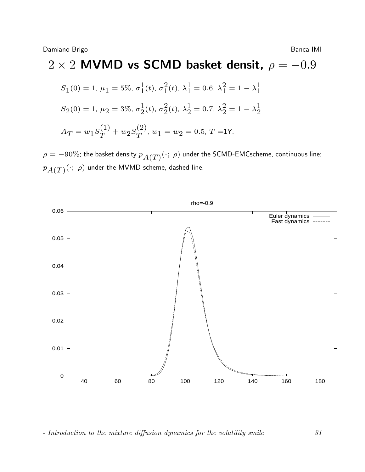#### $2 \times 2$  MVMD vs SCMD basket densit,  $\rho = -0.9$  $S_1(0) = 1, \, \mu_1 = 5\%, \, \sigma_1^1$  $\frac{1}{1}(t)$ ,  $\sigma_1^2$  $\frac{2}{1}(t)$ ,  $\lambda_1^1 = 0.6$ ,  $\lambda_1^2 = 1 - \lambda_1^1$ 1  $S_2(0) = 1, \, \mu_2 = 3\%, \, \sigma_2^1$  $\frac{1}{2}(t)$ ,  $\sigma_2^2$  $2(2t)$ ,  $\lambda_2^1 = 0.7$ ,  $\lambda_2^2 = 1 - \lambda_2^1$ 2  $A_T = w_1 S_T^{(1)}$  $\binom{(1)}{T} + w_2 S_T^{(2)}$  $T^{(2)}$ ,  $w_1 = w_2 = 0.5$ ,  $T = 1$ Y.

 $\rho=-90\%$ ; the basket density  $p_{A(T)}(\cdot; \, \rho)$  under the SCMD-EMCscheme, continuous line;  $p_{A(T)}(\cdot; \ \rho)$  under the MVMD scheme, dashed line.

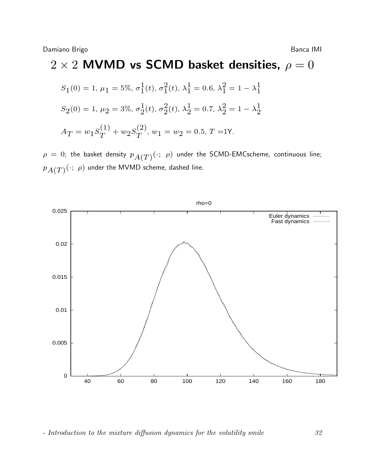# $2 \times 2$  MVMD vs SCMD basket densities,  $\rho = 0$

$$
S_1(0) = 1, \mu_1 = 5\%, \sigma_1^1(t), \sigma_1^2(t), \lambda_1^1 = 0.6, \lambda_1^2 = 1 - \lambda_1^1
$$
  
\n
$$
S_2(0) = 1, \mu_2 = 3\%, \sigma_2^1(t), \sigma_2^2(t), \lambda_2^1 = 0.7, \lambda_2^2 = 1 - \lambda_2^1
$$
  
\n
$$
A_T = w_1 S_T^{(1)} + w_2 S_T^{(2)}, w_1 = w_2 = 0.5, T = 1Y.
$$

 $\rho\,=\,0;$  the basket density  $\,p_{A(T)}(\cdot; \,\, \rho)\,$  under the SCMD-EMCscheme, continuous line;  $p_{A(T)}(\cdot; \ \rho)$  under the MVMD scheme, dashed line.

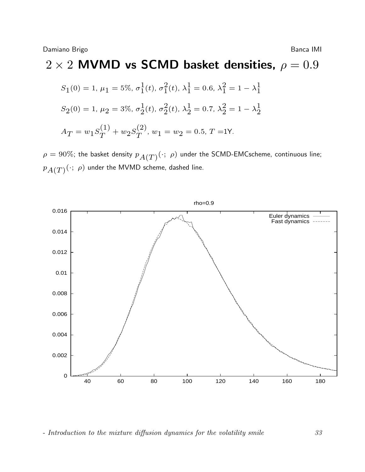#### $2 \times 2$  MVMD vs SCMD basket densities,  $\rho = 0.9$  $S_1(0) = 1, \, \mu_1 = 5\%, \, \sigma_1^1$  $\frac{1}{1}(t)$ ,  $\sigma_1^2$  $\frac{2}{1}(t)$ ,  $\lambda_1^1 = 0.6$ ,  $\lambda_1^2 = 1 - \lambda_1^1$ 1  $S_2(0) = 1, \, \mu_2 = 3\%, \, \sigma_2^1$  $\frac{1}{2}(t)$ ,  $\sigma_2^2$  $2(2t)$ ,  $\lambda_2^1 = 0.7$ ,  $\lambda_2^2 = 1 - \lambda_2^1$ 2  $A_T = w_1 S_T^{(1)}$  $\binom{(1)}{T} + w_2 S_T^{(2)}$  $T^{(2)}$ ,  $w_1 = w_2 = 0.5$ ,  $T = 1$ Y.

 $\rho=90\%$ ; the basket density  $p_{A(T)}(\cdot; \; \rho)$  under the SCMD-EMCscheme, continuous line;  $p_{A(T)}(\cdot; \ \rho)$  under the MVMD scheme, dashed line.

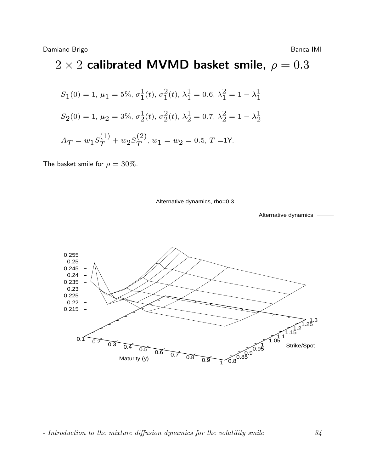# $2 \times 2$  calibrated MVMD basket smile,  $\rho = 0.3$

$$
S_1(0) = 1, \mu_1 = 5\%, \sigma_1^1(t), \sigma_1^2(t), \lambda_1^1 = 0.6, \lambda_1^2 = 1 - \lambda_1^1
$$
  

$$
S_2(0) = 1, \mu_2 = 3\%, \sigma_2^1(t), \sigma_2^2(t), \lambda_2^1 = 0.7, \lambda_2^2 = 1 - \lambda_2^1
$$
  

$$
A_T = w_1 S_T^{(1)} + w_2 S_T^{(2)}, w_1 = w_2 = 0.5, T = 1Y.
$$

The basket smile for  $\rho = 30\%$ .

Alternative dynamics, rho=0.3

Alternative dynamics

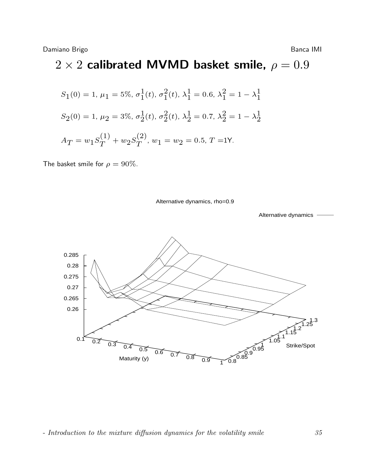# $2 \times 2$  calibrated MVMD basket smile,  $\rho = 0.9$

$$
S_1(0) = 1, \mu_1 = 5\%, \sigma_1^1(t), \sigma_1^2(t), \lambda_1^1 = 0.6, \lambda_1^2 = 1 - \lambda_1^1
$$
  

$$
S_2(0) = 1, \mu_2 = 3\%, \sigma_2^1(t), \sigma_2^2(t), \lambda_2^1 = 0.7, \lambda_2^2 = 1 - \lambda_2^1
$$
  

$$
A_T = w_1 S_T^{(1)} + w_2 S_T^{(2)}, w_1 = w_2 = 0.5, T = 1Y.
$$

The basket smile for  $\rho = 90\%$ .

Alternative dynamics, rho=0.9

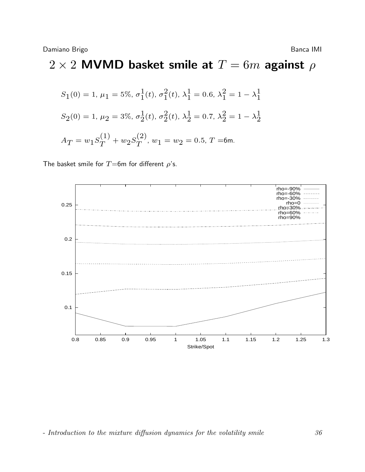# $2 \times 2$  MVMD basket smile at  $T = 6m$  against  $\rho$

$$
S_1(0) = 1, \mu_1 = 5\%, \sigma_1^1(t), \sigma_1^2(t), \lambda_1^1 = 0.6, \lambda_1^2 = 1 - \lambda_1^1
$$
  

$$
S_2(0) = 1, \mu_2 = 3\%, \sigma_2^1(t), \sigma_2^2(t), \lambda_2^1 = 0.7, \lambda_2^2 = 1 - \lambda_2^1
$$
  

$$
A_T = w_1 S_T^{(1)} + w_2 S_T^{(2)}, w_1 = w_2 = 0.5, T = 6
$$
m.

The basket smile for  $T = 6$ m for different  $\rho$ 's.

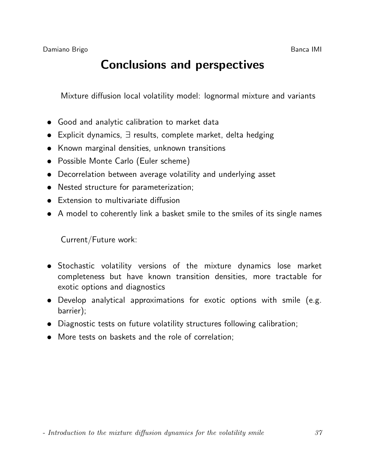# Conclusions and perspectives

Mixture diffusion local volatility model: lognormal mixture and variants

- Good and analytic calibration to market data
- Explicit dynamics, ∃ results, complete market, delta hedging
- Known marginal densities, unknown transitions
- Possible Monte Carlo (Euler scheme)
- Decorrelation between average volatility and underlying asset
- Nested structure for parameterization;
- Extension to multivariate diffusion
- A model to coherently link a basket smile to the smiles of its single names

Current/Future work:

- Stochastic volatility versions of the mixture dynamics lose market completeness but have known transition densities, more tractable for exotic options and diagnostics
- Develop analytical approximations for exotic options with smile (e.g. barrier);
- Diagnostic tests on future volatility structures following calibration;
- More tests on baskets and the role of correlation;